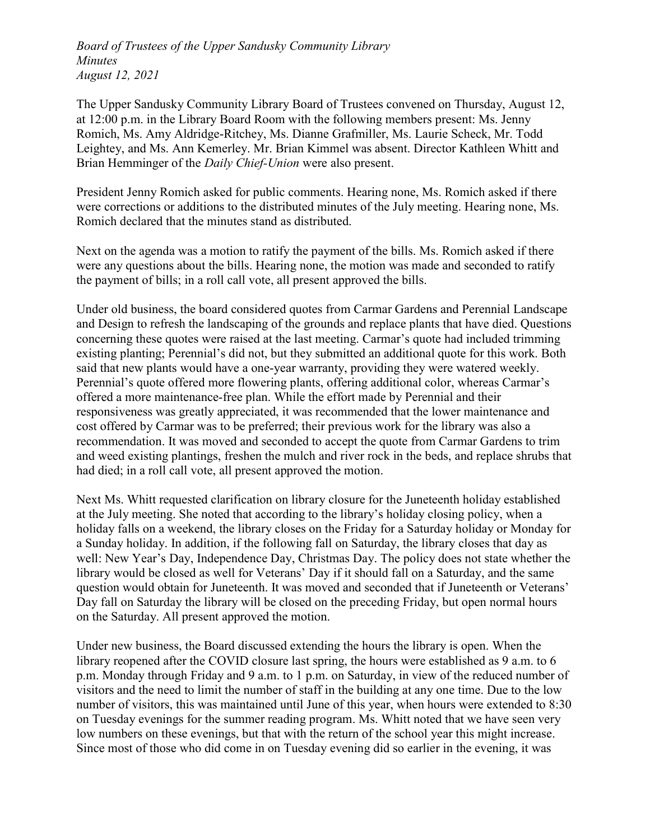Board of Trustees of the Upper Sandusky Community Library Minutes August 12, 2021

The Upper Sandusky Community Library Board of Trustees convened on Thursday, August 12, at 12:00 p.m. in the Library Board Room with the following members present: Ms. Jenny Romich, Ms. Amy Aldridge-Ritchey, Ms. Dianne Grafmiller, Ms. Laurie Scheck, Mr. Todd Leightey, and Ms. Ann Kemerley. Mr. Brian Kimmel was absent. Director Kathleen Whitt and Brian Hemminger of the *Daily Chief-Union* were also present.

President Jenny Romich asked for public comments. Hearing none, Ms. Romich asked if there were corrections or additions to the distributed minutes of the July meeting. Hearing none, Ms. Romich declared that the minutes stand as distributed.

Next on the agenda was a motion to ratify the payment of the bills. Ms. Romich asked if there were any questions about the bills. Hearing none, the motion was made and seconded to ratify the payment of bills; in a roll call vote, all present approved the bills.

Under old business, the board considered quotes from Carmar Gardens and Perennial Landscape and Design to refresh the landscaping of the grounds and replace plants that have died. Questions concerning these quotes were raised at the last meeting. Carmar's quote had included trimming existing planting; Perennial's did not, but they submitted an additional quote for this work. Both said that new plants would have a one-year warranty, providing they were watered weekly. Perennial's quote offered more flowering plants, offering additional color, whereas Carmar's offered a more maintenance-free plan. While the effort made by Perennial and their responsiveness was greatly appreciated, it was recommended that the lower maintenance and cost offered by Carmar was to be preferred; their previous work for the library was also a recommendation. It was moved and seconded to accept the quote from Carmar Gardens to trim and weed existing plantings, freshen the mulch and river rock in the beds, and replace shrubs that had died; in a roll call vote, all present approved the motion.

Next Ms. Whitt requested clarification on library closure for the Juneteenth holiday established at the July meeting. She noted that according to the library's holiday closing policy, when a holiday falls on a weekend, the library closes on the Friday for a Saturday holiday or Monday for a Sunday holiday. In addition, if the following fall on Saturday, the library closes that day as well: New Year's Day, Independence Day, Christmas Day. The policy does not state whether the library would be closed as well for Veterans' Day if it should fall on a Saturday, and the same question would obtain for Juneteenth. It was moved and seconded that if Juneteenth or Veterans' Day fall on Saturday the library will be closed on the preceding Friday, but open normal hours on the Saturday. All present approved the motion.

Under new business, the Board discussed extending the hours the library is open. When the library reopened after the COVID closure last spring, the hours were established as 9 a.m. to 6 p.m. Monday through Friday and 9 a.m. to 1 p.m. on Saturday, in view of the reduced number of visitors and the need to limit the number of staff in the building at any one time. Due to the low number of visitors, this was maintained until June of this year, when hours were extended to 8:30 on Tuesday evenings for the summer reading program. Ms. Whitt noted that we have seen very low numbers on these evenings, but that with the return of the school year this might increase. Since most of those who did come in on Tuesday evening did so earlier in the evening, it was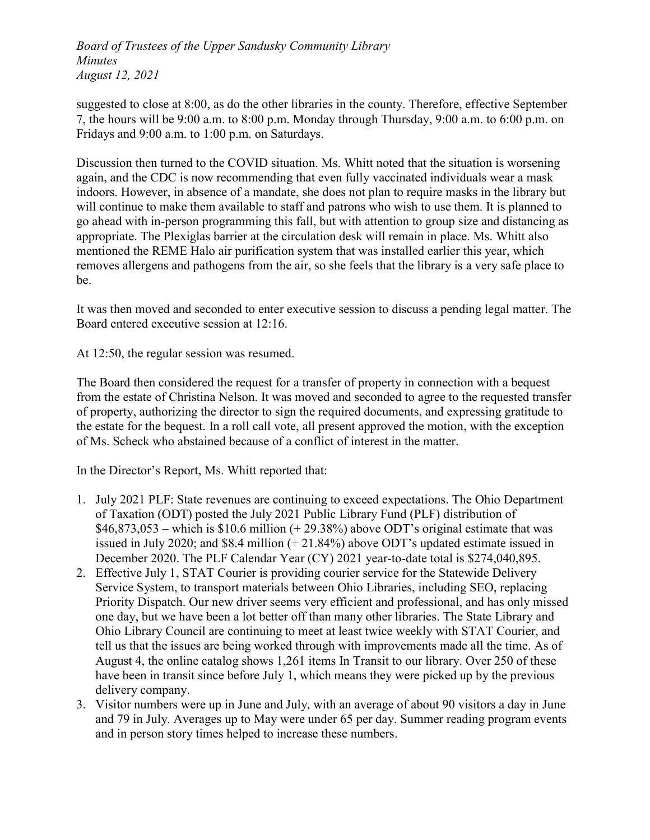Board of Trustees of the Upper Sandusky Community Library Minutes August 12, 2021

suggested to close at 8:00, as do the other libraries in the county. Therefore, effective September 7, the hours will be 9:00 a.m. to 8:00 p.m. Monday through Thursday, 9:00 a.m. to 6:00 p.m. on Fridays and 9:00 a.m. to 1:00 p.m. on Saturdays.

Discussion then turned to the COVID situation. Ms. Whitt noted that the situation is worsening again, and the CDC is now recommending that even fully vaccinated individuals wear a mask indoors. However, in absence of a mandate, she does not plan to require masks in the library but will continue to make them available to staff and patrons who wish to use them. It is planned to go ahead with in-person programming this fall, but with attention to group size and distancing as appropriate. The Plexiglas barrier at the circulation desk will remain in place. Ms. Whitt also mentioned the REME Halo air purification system that was installed earlier this year, which removes allergens and pathogens from the air, so she feels that the library is a very safe place to be.

It was then moved and seconded to enter executive session to discuss a pending legal matter. The Board entered executive session at 12:16.

At 12:50, the regular session was resumed.

The Board then considered the request for a transfer of property in connection with a bequest from the estate of Christina Nelson. It was moved and seconded to agree to the requested transfer of property, authorizing the director to sign the required documents, and expressing gratitude to the estate for the bequest. In a roll call vote, all present approved the motion, with the exception of Ms. Scheck who abstained because of a conflict of interest in the matter.

In the Director's Report, Ms. Whitt reported that:

- 1. July 2021 PLF: State revenues are continuing to exceed expectations. The Ohio Department of Taxation (ODT) posted the July 2021 Public Library Fund (PLF) distribution of  $$46,873,053$  – which is \$10.6 million (+29.38%) above ODT's original estimate that was issued in July 2020; and \$8.4 million (+ 21.84%) above ODT's updated estimate issued in December 2020. The PLF Calendar Year (CY) 2021 year-to-date total is \$274,040,895.
- 2. Effective July 1, STAT Courier is providing courier service for the Statewide Delivery Service System, to transport materials between Ohio Libraries, including SEO, replacing Priority Dispatch. Our new driver seems very efficient and professional, and has only missed one day, but we have been a lot better off than many other libraries. The State Library and Ohio Library Council are continuing to meet at least twice weekly with STAT Courier, and tell us that the issues are being worked through with improvements made all the time. As of August 4, the online catalog shows 1,261 items In Transit to our library. Over 250 of these have been in transit since before July 1, which means they were picked up by the previous delivery company.
- 3. Visitor numbers were up in June and July, with an average of about 90 visitors a day in June and 79 in July. Averages up to May were under 65 per day. Summer reading program events and in person story times helped to increase these numbers.